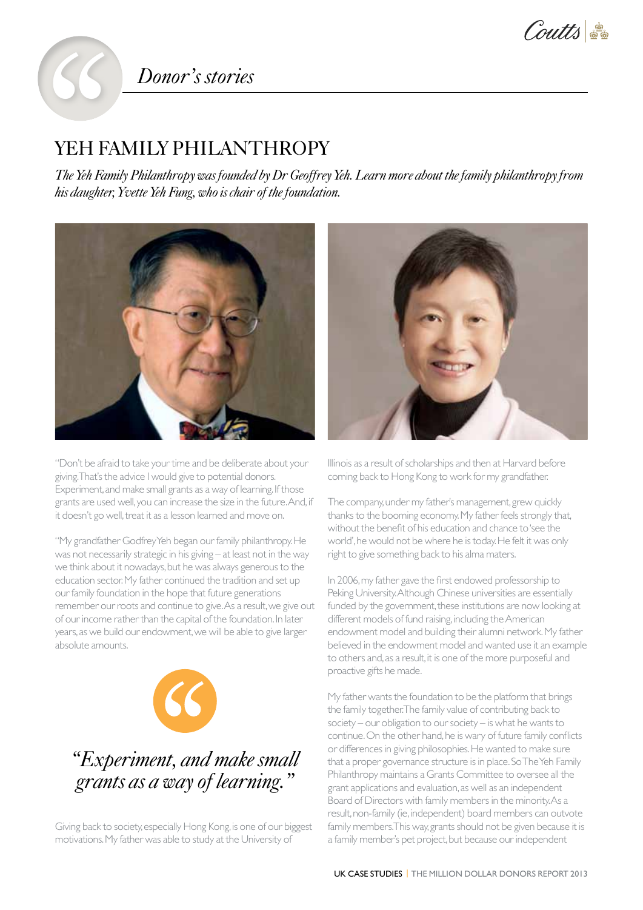Coutts

## *Donor's stories*

## YEH FAMILY PHILANTHROPY

**The Yeh 1**<br>The Yeh 1<br>his daugh *The Yeh Family Philanthropy was founded by Dr Geoffrey Yeh. Learn more about the family philanthropy from his daughter, Yvette Yeh Fung, who is chair of the foundation.*



"Don't be afraid to take your time and be deliberate about your giving. That's the advice I would give to potential donors. Experiment, and make small grants as a way of learning. If those grants are used well, you can increase the size in the future. And, if it doesn't go well, treat it as a lesson learned and move on.

"My grandfather Godfrey Yeh began our family philanthropy. He was not necessarily strategic in his giving – at least not in the way we think about it nowadays, but he was always generous to the education sector. My father continued the tradition and set up our family foundation in the hope that future generations remember our roots and continue to give. As a result, we give out of our income rather than the capital of the foundation. In later years, as we build our endowment, we will be able to give larger absolute amounts.



## *"Experiment, and make small grants as a way of learning."*

Giving back to society, especially Hong Kong, is one of our biggest motivations. My father was able to study at the University of



Illinois as a result of scholarships and then at Harvard before coming back to Hong Kong to work for my grandfather.

The company, under my father's management, grew quickly thanks to the booming economy. My father feels strongly that, without the benefit of his education and chance to 'see the world', he would not be where he is today. He felt it was only right to give something back to his alma maters.

In 2006, my father gave the first endowed professorship to Peking University. Although Chinese universities are essentially funded by the government, these institutions are now looking at different models of fund raising, including the American endowment model and building their alumni network. My father believed in the endowment model and wanted use it an example to others and, as a result, it is one of the more purposeful and proactive gifts he made.

My father wants the foundation to be the platform that brings the family together. The family value of contributing back to society – our obligation to our society – is what he wants to continue. On the other hand, he is wary of future family conflicts or differences in giving philosophies. He wanted to make sure that a proper governance structure is in place. So The Yeh Family Philanthropy maintains a Grants Committee to oversee all the grant applications and evaluation, as well as an independent Board of Directors with family members in the minority. As a result, non-family (ie, independent) board members can outvote family members. This way, grants should not be given because it is a family member's pet project, but because our independent